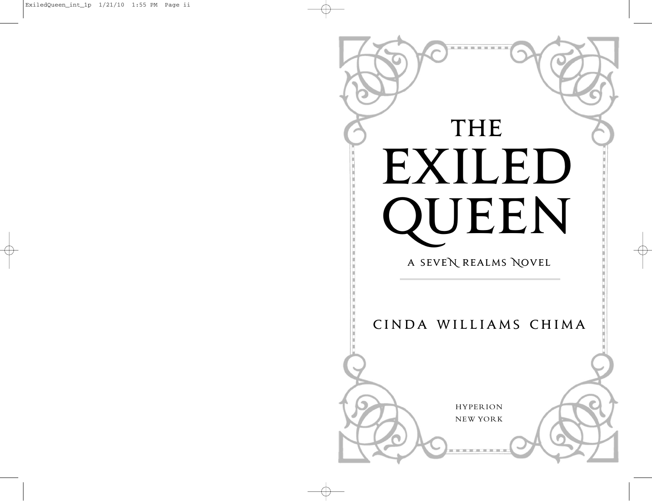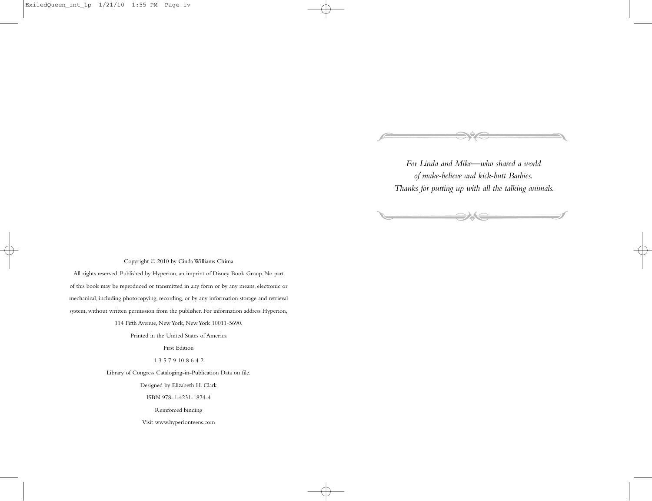

*For Linda and Mike—who shared a world of make-believe and kick-butt Barbies. Thanks for putting up with all the talking animals.*

Copyright © 2010 by Cinda Williams Chima

All rights reserved. Published by Hyperion, an imprint of Disney Book Group. No part of this book may be reproduced or transmitted in any form or by any means, electronic or mechanical, including photocopying, recording, or by any information storage and retrieval system, without written permission from the publisher. For information address Hyperion,

114 Fifth Avenue, New York, New York 10011-5690.

Printed in the United States of America

First Edition

## 1 3 5 7 9 10 8 6 4 2

Library of Congress Cataloging-in-Publication Data on file. Designed by Elizabeth H. Clark ISBN 978-1-4231-1824-4 Reinforced binding Visit www.hyperionteens.com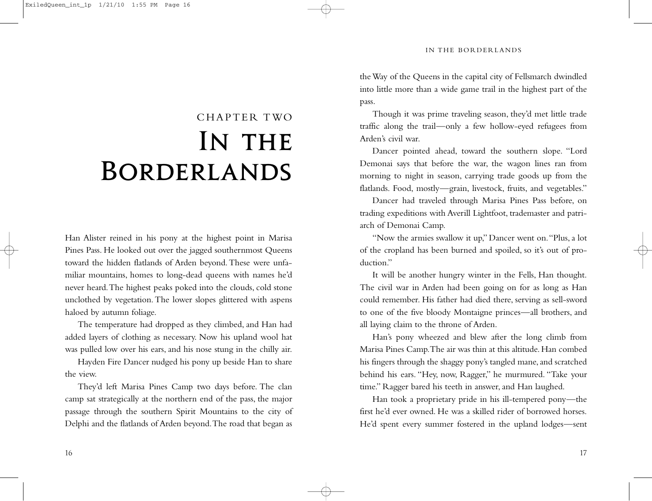# CHAPTER TWO IN THE **Borderlands**

Han Alister reined in his pony at the highest point in Marisa Pines Pass. He looked out over the jagged southernmost Queens toward the hidden flatlands of Arden beyond.These were unfamiliar mountains, homes to long-dead queens with names he'd never heard.The highest peaks poked into the clouds, cold stone unclothed by vegetation.The lower slopes glittered with aspens haloed by autumn foliage.

The temperature had dropped as they climbed, and Han had added layers of clothing as necessary. Now his upland wool hat was pulled low over his ears, and his nose stung in the chilly air.

Hayden Fire Dancer nudged his pony up beside Han to share the view.

They'd left Marisa Pines Camp two days before. The clan camp sat strategically at the northern end of the pass, the major passage through the southern Spirit Mountains to the city of Delphi and the flatlands of Arden beyond.The road that began as

the Way of the Queens in the capital city of Fellsmarch dwindled into little more than a wide game trail in the highest part of the pass.

Though it was prime traveling season, they'd met little trade traffic along the trail—only a few hollow-eyed refugees from Arden's civil war.

Dancer pointed ahead, toward the southern slope. "Lord Demonai says that before the war, the wagon lines ran from morning to night in season, carrying trade goods up from the flatlands. Food, mostly—grain, livestock, fruits, and vegetables."

Dancer had traveled through Marisa Pines Pass before, on trading expeditions with Averill Lightfoot, trademaster and patriarch of Demonai Camp.

"Now the armies swallow it up," Dancer went on."Plus, a lot of the cropland has been burned and spoiled, so it's out of production."

It will be another hungry winter in the Fells, Han thought. The civil war in Arden had been going on for as long as Han could remember. His father had died there, serving as sell-sword to one of the five bloody Montaigne princes—all brothers, and all laying claim to the throne of Arden.

Han's pony wheezed and blew after the long climb from Marisa Pines Camp.The air was thin at this altitude. Han combed his fingers through the shaggy pony's tangled mane, and scratched behind his ears. "Hey, now, Ragger," he murmured. "Take your time." Ragger bared his teeth in answer, and Han laughed.

Han took a proprietary pride in his ill-tempered pony—the first he'd ever owned. He was a skilled rider of borrowed horses. He'd spent every summer fostered in the upland lodges—sent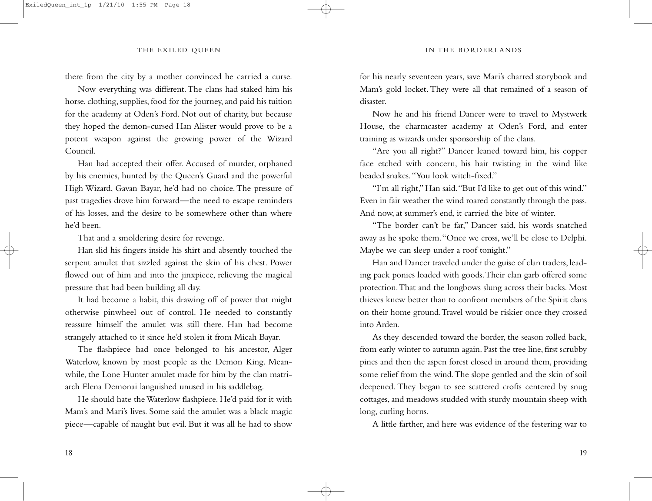## THE EXILED QUEEN

there from the city by a mother convinced he carried a curse.

Now everything was different.The clans had staked him his horse, clothing, supplies, food for the journey, and paid his tuition for the academy at Oden's Ford. Not out of charity, but because they hoped the demon-cursed Han Alister would prove to be a potent weapon against the growing power of the Wizard Council.

Han had accepted their offer. Accused of murder, orphaned by his enemies, hunted by the Queen's Guard and the powerful High Wizard, Gavan Bayar, he'd had no choice.The pressure of past tragedies drove him forward—the need to escape reminders of his losses, and the desire to be somewhere other than where he'd been.

That and a smoldering desire for revenge.

Han slid his fingers inside his shirt and absently touched the serpent amulet that sizzled against the skin of his chest. Power flowed out of him and into the jinxpiece, relieving the magical pressure that had been building all day.

It had become a habit, this drawing off of power that might otherwise pinwheel out of control. He needed to constantly reassure himself the amulet was still there. Han had become strangely attached to it since he'd stolen it from Micah Bayar.

The flashpiece had once belonged to his ancestor, Alger Waterlow, known by most people as the Demon King. Meanwhile, the Lone Hunter amulet made for him by the clan matriarch Elena Demonai languished unused in his saddlebag.

He should hate the Waterlow flashpiece. He'd paid for it with Mam's and Mari's lives. Some said the amulet was a black magic piece—capable of naught but evil. But it was all he had to show

for his nearly seventeen years, save Mari's charred storybook and Mam's gold locket. They were all that remained of a season of disaster.

Now he and his friend Dancer were to travel to Mystwerk House, the charmcaster academy at Oden's Ford, and enter training as wizards under sponsorship of the clans.

"Are you all right?" Dancer leaned toward him, his copper face etched with concern, his hair twisting in the wind like beaded snakes."You look witch-fixed."

"I'm all right," Han said."But I'd like to get out of this wind." Even in fair weather the wind roared constantly through the pass. And now, at summer's end, it carried the bite of winter.

"The border can't be far," Dancer said, his words snatched away as he spoke them."Once we cross, we'll be close to Delphi. Maybe we can sleep under a roof tonight."

Han and Dancer traveled under the guise of clan traders, leading pack ponies loaded with goods.Their clan garb offered some protection.That and the longbows slung across their backs. Most thieves knew better than to confront members of the Spirit clans on their home ground.Travel would be riskier once they crossed into Arden.

As they descended toward the border, the season rolled back, from early winter to autumn again. Past the tree line, first scrubby pines and then the aspen forest closed in around them, providing some relief from the wind.The slope gentled and the skin of soil deepened. They began to see scattered crofts centered by snug cottages, and meadows studded with sturdy mountain sheep with long, curling horns.

A little farther, and here was evidence of the festering war to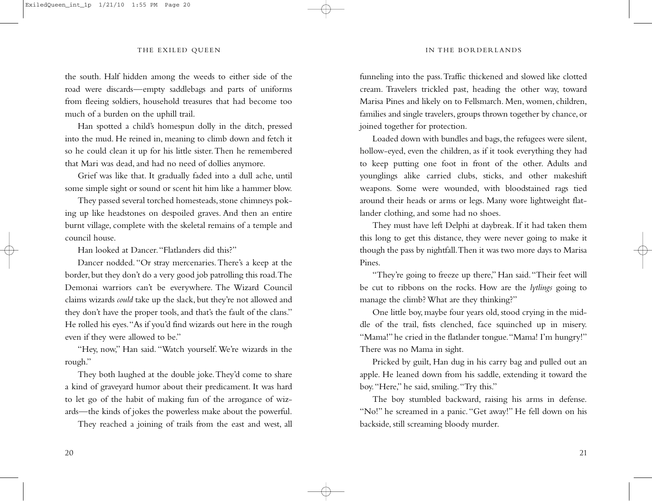# THE EXILED QUEEN

the south. Half hidden among the weeds to either side of the road were discards—empty saddlebags and parts of uniforms from fleeing soldiers, household treasures that had become too much of a burden on the uphill trail.

Han spotted a child's homespun dolly in the ditch, pressed into the mud. He reined in, meaning to climb down and fetch it so he could clean it up for his little sister.Then he remembered that Mari was dead, and had no need of dollies anymore.

Grief was like that. It gradually faded into a dull ache, until some simple sight or sound or scent hit him like a hammer blow.

They passed several torched homesteads, stone chimneys poking up like headstones on despoiled graves. And then an entire burnt village, complete with the skeletal remains of a temple and council house.

Han looked at Dancer."Flatlanders did this?"

Dancer nodded. "Or stray mercenaries.There's a keep at the border, but they don't do a very good job patrolling this road.The Demonai warriors can't be everywhere. The Wizard Council claims wizards *could* take up the slack, but they're not allowed and they don't have the proper tools, and that's the fault of the clans." He rolled his eyes."As if you'd find wizards out here in the rough even if they were allowed to be."

"Hey, now," Han said. "Watch yourself.We're wizards in the rough."

They both laughed at the double joke.They'd come to share a kind of graveyard humor about their predicament. It was hard to let go of the habit of making fun of the arrogance of wizards—the kinds of jokes the powerless make about the powerful.

They reached a joining of trails from the east and west, all

funneling into the pass.Traffic thickened and slowed like clotted cream. Travelers trickled past, heading the other way, toward Marisa Pines and likely on to Fellsmarch. Men, women, children, families and single travelers, groups thrown together by chance, or joined together for protection.

Loaded down with bundles and bags, the refugees were silent, hollow-eyed, even the children, as if it took everything they had to keep putting one foot in front of the other. Adults and younglings alike carried clubs, sticks, and other makeshift weapons. Some were wounded, with bloodstained rags tied around their heads or arms or legs. Many wore lightweight flatlander clothing, and some had no shoes.

They must have left Delphi at daybreak. If it had taken them this long to get this distance, they were never going to make it though the pass by nightfall.Then it was two more days to Marisa Pines.

"They're going to freeze up there," Han said."Their feet will be cut to ribbons on the rocks. How are the *lytlings* going to manage the climb? What are they thinking?"

One little boy, maybe four years old, stood crying in the middle of the trail, fists clenched, face squinched up in misery. "Mama!" he cried in the flatlander tongue."Mama! I'm hungry!" There was no Mama in sight.

Pricked by guilt, Han dug in his carry bag and pulled out an apple. He leaned down from his saddle, extending it toward the boy."Here," he said, smiling."Try this."

The boy stumbled backward, raising his arms in defense. "No!" he screamed in a panic."Get away!" He fell down on his backside, still screaming bloody murder.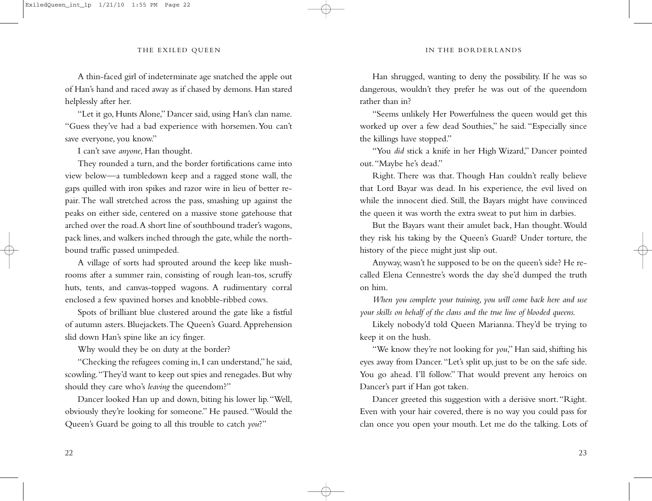# THE EXILED QUEEN

A thin-faced girl of indeterminate age snatched the apple out of Han's hand and raced away as if chased by demons. Han stared helplessly after her.

"Let it go, Hunts Alone," Dancer said, using Han's clan name. "Guess they've had a bad experience with horsemen.You can't save everyone, you know."

I can't save *anyone*, Han thought.

They rounded a turn, and the border fortifications came into view below—a tumbledown keep and a ragged stone wall, the gaps quilled with iron spikes and razor wire in lieu of better repair. The wall stretched across the pass, smashing up against the peaks on either side, centered on a massive stone gatehouse that arched over the road.A short line of southbound trader's wagons, pack lines, and walkers inched through the gate, while the northbound traffic passed unimpeded.

A village of sorts had sprouted around the keep like mushrooms after a summer rain, consisting of rough lean-tos, scruffy huts, tents, and canvas-topped wagons. A rudimentary corral enclosed a few spavined horses and knobble-ribbed cows.

Spots of brilliant blue clustered around the gate like a fistful of autumn asters. Bluejackets.The Queen's Guard.Apprehension slid down Han's spine like an icy finger.

Why would they be on duty at the border?

"Checking the refugees coming in, I can understand," he said, scowling."They'd want to keep out spies and renegades. But why should they care who's *leaving* the queendom?"

Dancer looked Han up and down, biting his lower lip."Well, obviously they're looking for someone." He paused."Would the Queen's Guard be going to all this trouble to catch *you*?"

Han shrugged, wanting to deny the possibility. If he was so dangerous, wouldn't they prefer he was out of the queendom rather than in?

"Seems unlikely Her Powerfulness the queen would get this worked up over a few dead Southies," he said. "Especially since the killings have stopped."

"You *did* stick a knife in her High Wizard," Dancer pointed out."Maybe he's dead."

Right. There was that. Though Han couldn't really believe that Lord Bayar was dead. In his experience, the evil lived on while the innocent died. Still, the Bayars might have convinced the queen it was worth the extra sweat to put him in darbies.

But the Bayars want their amulet back, Han thought.Would they risk his taking by the Queen's Guard? Under torture, the history of the piece might just slip out.

Anyway, wasn't he supposed to be on the queen's side? He recalled Elena Cennestre's words the day she'd dumped the truth on him.

*When you complete your training, you will come back here and use your skills on behalf of the clans and the true line of blooded queens.*

Likely nobody'd told Queen Marianna.They'd be trying to keep it on the hush.

"We know they're not looking for *you*," Han said, shifting his eyes away from Dancer."Let's split up, just to be on the safe side. You go ahead. I'll follow." That would prevent any heroics on Dancer's part if Han got taken.

Dancer greeted this suggestion with a derisive snort."Right. Even with your hair covered, there is no way you could pass for clan once you open your mouth. Let me do the talking. Lots of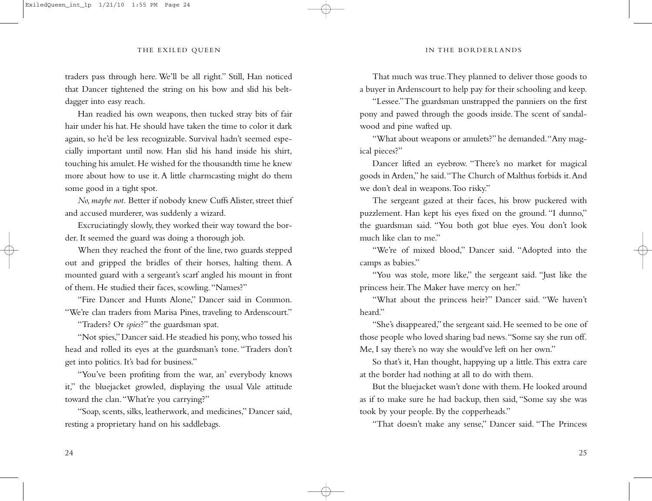# THE EXILED QUEEN

traders pass through here. We'll be all right." Still, Han noticed that Dancer tightened the string on his bow and slid his beltdagger into easy reach.

Han readied his own weapons, then tucked stray bits of fair hair under his hat. He should have taken the time to color it dark again, so he'd be less recognizable. Survival hadn't seemed especially important until now. Han slid his hand inside his shirt, touching his amulet. He wished for the thousandth time he knew more about how to use it. A little charmcasting might do them some good in a tight spot.

*No, maybe not.* Better if nobody knew Cuffs Alister, street thief and accused murderer, was suddenly a wizard.

Excruciatingly slowly, they worked their way toward the border. It seemed the guard was doing a thorough job.

When they reached the front of the line, two guards stepped out and gripped the bridles of their horses, halting them. A mounted guard with a sergeant's scarf angled his mount in front of them. He studied their faces, scowling."Names?"

"Fire Dancer and Hunts Alone," Dancer said in Common. "We're clan traders from Marisa Pines, traveling to Ardenscourt."

"Traders? Or *spies*?" the guardsman spat.

"Not spies," Dancer said. He steadied his pony, who tossed his head and rolled its eyes at the guardsman's tone. "Traders don't get into politics. It's bad for business."

"You've been profiting from the war, an' everybody knows it," the bluejacket growled, displaying the usual Vale attitude toward the clan. "What're you carrying?"

"Soap, scents, silks, leatherwork, and medicines," Dancer said, resting a proprietary hand on his saddlebags.

That much was true.They planned to deliver those goods to a buyer in Ardenscourt to help pay for their schooling and keep.

"Lessee."The guardsman unstrapped the panniers on the first pony and pawed through the goods inside.The scent of sandalwood and pine wafted up.

"What about weapons or amulets?" he demanded."Any magical pieces?"

Dancer lifted an eyebrow. "There's no market for magical goods in Arden," he said."The Church of Malthus forbids it.And we don't deal in weapons.Too risky."

The sergeant gazed at their faces, his brow puckered with puzzlement. Han kept his eyes fixed on the ground. "I dunno," the guardsman said. "You both got blue eyes. You don't look much like clan to me."

"We're of mixed blood," Dancer said. "Adopted into the camps as babies."

"You was stole, more like," the sergeant said. "Just like the princess heir.The Maker have mercy on her."

"What about the princess heir?" Dancer said. "We haven't heard."

"She's disappeared," the sergeant said. He seemed to be one of those people who loved sharing bad news."Some say she run off. Me, I say there's no way she would've left on her own."

So that's it, Han thought, happying up a little.This extra care at the border had nothing at all to do with them.

But the bluejacket wasn't done with them. He looked around as if to make sure he had backup, then said, "Some say she was took by your people. By the copperheads."

"That doesn't make any sense," Dancer said. "The Princess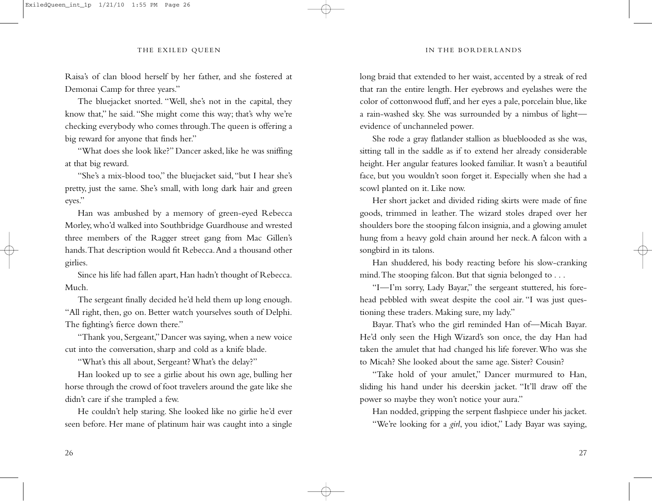# THE EXILED QUEEN

Raisa's of clan blood herself by her father, and she fostered at Demonai Camp for three years."

The bluejacket snorted. "Well, she's not in the capital, they know that," he said."She might come this way; that's why we're checking everybody who comes through.The queen is offering a big reward for anyone that finds her."

"What does she look like?" Dancer asked, like he was sniffing at that big reward.

"She's a mix-blood too," the bluejacket said,"but I hear she's pretty, just the same. She's small, with long dark hair and green eyes."

Han was ambushed by a memory of green-eyed Rebecca Morley, who'd walked into Southbridge Guardhouse and wrested three members of the Ragger street gang from Mac Gillen's hands.That description would fit Rebecca.And a thousand other girlies.

Since his life had fallen apart, Han hadn't thought of Rebecca. Much.

The sergeant finally decided he'd held them up long enough. "All right, then, go on. Better watch yourselves south of Delphi. The fighting's fierce down there."

"Thank you, Sergeant," Dancer was saying, when a new voice cut into the conversation, sharp and cold as a knife blade.

"What's this all about, Sergeant? What's the delay?"

Han looked up to see a girlie about his own age, bulling her horse through the crowd of foot travelers around the gate like she didn't care if she trampled a few.

He couldn't help staring. She looked like no girlie he'd ever seen before. Her mane of platinum hair was caught into a single long braid that extended to her waist, accented by a streak of red that ran the entire length. Her eyebrows and eyelashes were the color of cottonwood fluff, and her eyes a pale, porcelain blue, like a rain-washed sky. She was surrounded by a nimbus of light evidence of unchanneled power.

She rode a gray flatlander stallion as blueblooded as she was, sitting tall in the saddle as if to extend her already considerable height. Her angular features looked familiar. It wasn't a beautiful face, but you wouldn't soon forget it. Especially when she had a scowl planted on it. Like now.

Her short jacket and divided riding skirts were made of fine goods, trimmed in leather. The wizard stoles draped over her shoulders bore the stooping falcon insignia, and a glowing amulet hung from a heavy gold chain around her neck.A falcon with a songbird in its talons.

Han shuddered, his body reacting before his slow-cranking mind.The stooping falcon. But that signia belonged to ...

"I—I'm sorry, Lady Bayar," the sergeant stuttered, his forehead pebbled with sweat despite the cool air. "I was just questioning these traders. Making sure, my lady."

Bayar.That's who the girl reminded Han of—Micah Bayar. He'd only seen the High Wizard's son once, the day Han had taken the amulet that had changed his life forever.Who was she to Micah? She looked about the same age. Sister? Cousin?

"Take hold of your amulet," Dancer murmured to Han, sliding his hand under his deerskin jacket. "It'll draw off the power so maybe they won't notice your aura."

Han nodded, gripping the serpent flashpiece under his jacket. "We're looking for a *girl*, you idiot," Lady Bayar was saying,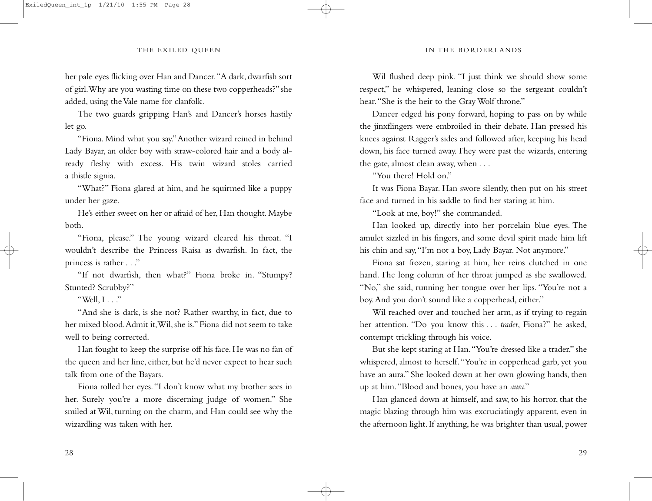# THE EXILED QUEEN

her pale eyes flicking over Han and Dancer."A dark, dwarfish sort of girl.Why are you wasting time on these two copperheads?" she added, using the Vale name for clanfolk.

The two guards gripping Han's and Dancer's horses hastily let go.

"Fiona. Mind what you say."Another wizard reined in behind Lady Bayar, an older boy with straw-colored hair and a body already fleshy with excess. His twin wizard stoles carried a thistle signia.

"What?" Fiona glared at him, and he squirmed like a puppy under her gaze.

He's either sweet on her or afraid of her, Han thought. Maybe both.

"Fiona, please." The young wizard cleared his throat. "I wouldn't describe the Princess Raisa as dwarfish. In fact, the princess is rather . . ."

"If not dwarfish, then what?" Fiona broke in. "Stumpy? Stunted? Scrubby?"

"Well,  $I \ldots$ "

"And she is dark, is she not? Rather swarthy, in fact, due to her mixed blood.Admit it,Wil, she is." Fiona did not seem to take well to being corrected.

Han fought to keep the surprise off his face. He was no fan of the queen and her line, either, but he'd never expect to hear such talk from one of the Bayars.

Fiona rolled her eyes."I don't know what my brother sees in her. Surely you're a more discerning judge of women." She smiled at Wil, turning on the charm, and Han could see why the wizardling was taken with her.

Wil flushed deep pink. "I just think we should show some respect," he whispered, leaning close so the sergeant couldn't hear."She is the heir to the Gray Wolf throne."

Dancer edged his pony forward, hoping to pass on by while the jinxflingers were embroiled in their debate. Han pressed his knees against Ragger's sides and followed after, keeping his head down, his face turned away.They were past the wizards, entering the gate, almost clean away, when . . .

"You there! Hold on."

It was Fiona Bayar. Han swore silently, then put on his street face and turned in his saddle to find her staring at him.

"Look at me, boy!" she commanded.

Han looked up, directly into her porcelain blue eyes. The amulet sizzled in his fingers, and some devil spirit made him lift his chin and say,"I'm not a boy, Lady Bayar. Not anymore."

Fiona sat frozen, staring at him, her reins clutched in one hand.The long column of her throat jumped as she swallowed. "No," she said, running her tongue over her lips. "You're not a boy.And you don't sound like a copperhead, either."

Wil reached over and touched her arm, as if trying to regain her attention. "Do you know this . . . *trader*, Fiona?" he asked, contempt trickling through his voice.

But she kept staring at Han."You're dressed like a trader," she whispered, almost to herself."You're in copperhead garb, yet you have an aura." She looked down at her own glowing hands, then up at him."Blood and bones, you have an *aura*."

Han glanced down at himself, and saw, to his horror, that the magic blazing through him was excruciatingly apparent, even in the afternoon light.If anything, he was brighter than usual, power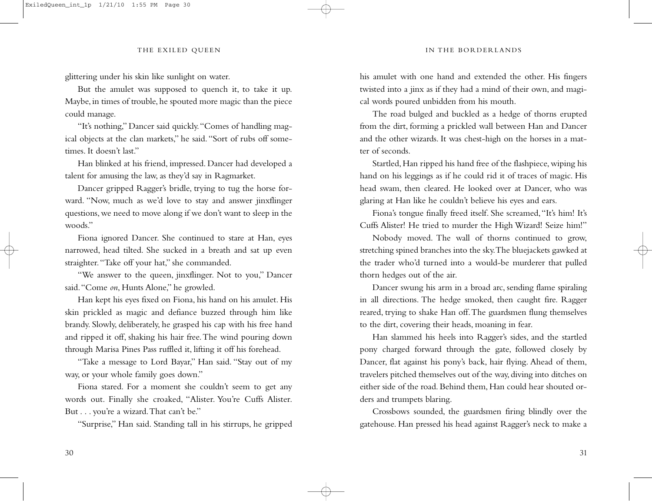# THE EXILED QUEEN

glittering under his skin like sunlight on water.

But the amulet was supposed to quench it, to take it up. Maybe, in times of trouble, he spouted more magic than the piece could manage.

"It's nothing," Dancer said quickly."Comes of handling magical objects at the clan markets," he said."Sort of rubs off sometimes. It doesn't last."

Han blinked at his friend, impressed. Dancer had developed a talent for amusing the law, as they'd say in Ragmarket.

Dancer gripped Ragger's bridle, trying to tug the horse forward. "Now, much as we'd love to stay and answer jinxflinger questions, we need to move along if we don't want to sleep in the woods."

Fiona ignored Dancer. She continued to stare at Han, eyes narrowed, head tilted. She sucked in a breath and sat up even straighter."Take off your hat," she commanded.

"We answer to the queen, jinxflinger. Not to you," Dancer said. "Come *on*, Hunts Alone," he growled.

Han kept his eyes fixed on Fiona, his hand on his amulet. His skin prickled as magic and defiance buzzed through him like brandy. Slowly, deliberately, he grasped his cap with his free hand and ripped it off, shaking his hair free.The wind pouring down through Marisa Pines Pass ruffled it, lifting it off his forehead.

"Take a message to Lord Bayar," Han said. "Stay out of my way, or your whole family goes down."

Fiona stared. For a moment she couldn't seem to get any words out. Finally she croaked, "Alister. You're Cuffs Alister. But . . . you're a wizard. That can't be."

"Surprise," Han said. Standing tall in his stirrups, he gripped

his amulet with one hand and extended the other. His fingers twisted into a jinx as if they had a mind of their own, and magical words poured unbidden from his mouth.

The road bulged and buckled as a hedge of thorns erupted from the dirt, forming a prickled wall between Han and Dancer and the other wizards. It was chest-high on the horses in a matter of seconds.

Startled, Han ripped his hand free of the flashpiece, wiping his hand on his leggings as if he could rid it of traces of magic. His head swam, then cleared. He looked over at Dancer, who was glaring at Han like he couldn't believe his eyes and ears.

Fiona's tongue finally freed itself. She screamed,"It's him! It's Cuffs Alister! He tried to murder the High Wizard! Seize him!"

Nobody moved. The wall of thorns continued to grow, stretching spined branches into the sky.The bluejackets gawked at the trader who'd turned into a would-be murderer that pulled thorn hedges out of the air.

Dancer swung his arm in a broad arc, sending flame spiraling in all directions. The hedge smoked, then caught fire. Ragger reared, trying to shake Han off.The guardsmen flung themselves to the dirt, covering their heads, moaning in fear.

Han slammed his heels into Ragger's sides, and the startled pony charged forward through the gate, followed closely by Dancer, flat against his pony's back, hair flying. Ahead of them, travelers pitched themselves out of the way, diving into ditches on either side of the road. Behind them, Han could hear shouted orders and trumpets blaring.

Crossbows sounded, the guardsmen firing blindly over the gatehouse. Han pressed his head against Ragger's neck to make a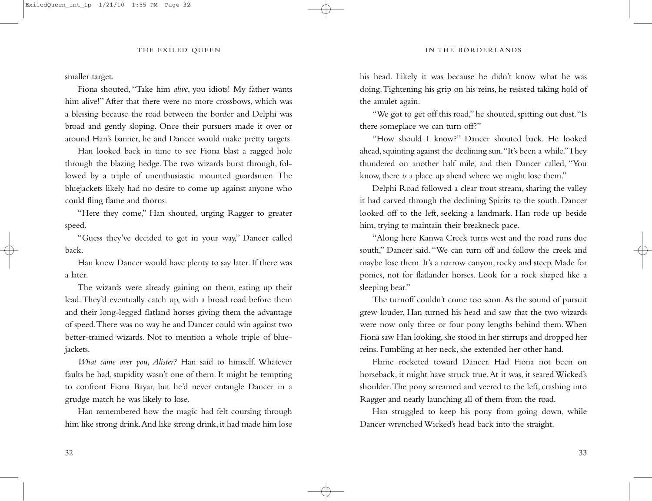## THE EXILED QUEEN

## smaller target.

Fiona shouted, "Take him *alive*, you idiots! My father wants him alive!" After that there were no more crossbows, which was a blessing because the road between the border and Delphi was broad and gently sloping. Once their pursuers made it over or around Han's barrier, he and Dancer would make pretty targets.

Han looked back in time to see Fiona blast a ragged hole through the blazing hedge.The two wizards burst through, followed by a triple of unenthusiastic mounted guardsmen. The bluejackets likely had no desire to come up against anyone who could fling flame and thorns.

"Here they come," Han shouted, urging Ragger to greater speed.

"Guess they've decided to get in your way," Dancer called back.

Han knew Dancer would have plenty to say later. If there was a later.

The wizards were already gaining on them, eating up their lead.They'd eventually catch up, with a broad road before them and their long-legged flatland horses giving them the advantage of speed.There was no way he and Dancer could win against two better-trained wizards. Not to mention a whole triple of bluejackets.

*What came over you, Alister?* Han said to himself. Whatever faults he had, stupidity wasn't one of them. It might be tempting to confront Fiona Bayar, but he'd never entangle Dancer in a grudge match he was likely to lose.

Han remembered how the magic had felt coursing through him like strong drink.And like strong drink, it had made him lose his head. Likely it was because he didn't know what he was doing.Tightening his grip on his reins, he resisted taking hold of the amulet again.

"We got to get off this road," he shouted, spitting out dust."Is there someplace we can turn off?"

"How should I know?" Dancer shouted back. He looked ahead, squinting against the declining sun."It's been a while."They thundered on another half mile, and then Dancer called, "You know, there *is* a place up ahead where we might lose them."

Delphi Road followed a clear trout stream, sharing the valley it had carved through the declining Spirits to the south. Dancer looked off to the left, seeking a landmark. Han rode up beside him, trying to maintain their breakneck pace.

"Along here Kanwa Creek turns west and the road runs due south," Dancer said. "We can turn off and follow the creek and maybe lose them. It's a narrow canyon, rocky and steep. Made for ponies, not for flatlander horses. Look for a rock shaped like a sleeping bear."

The turnoff couldn't come too soon.As the sound of pursuit grew louder, Han turned his head and saw that the two wizards were now only three or four pony lengths behind them.When Fiona saw Han looking, she stood in her stirrups and dropped her reins. Fumbling at her neck, she extended her other hand.

Flame rocketed toward Dancer. Had Fiona not been on horseback, it might have struck true.At it was, it seared Wicked's shoulder.The pony screamed and veered to the left, crashing into Ragger and nearly launching all of them from the road.

Han struggled to keep his pony from going down, while Dancer wrenched Wicked's head back into the straight.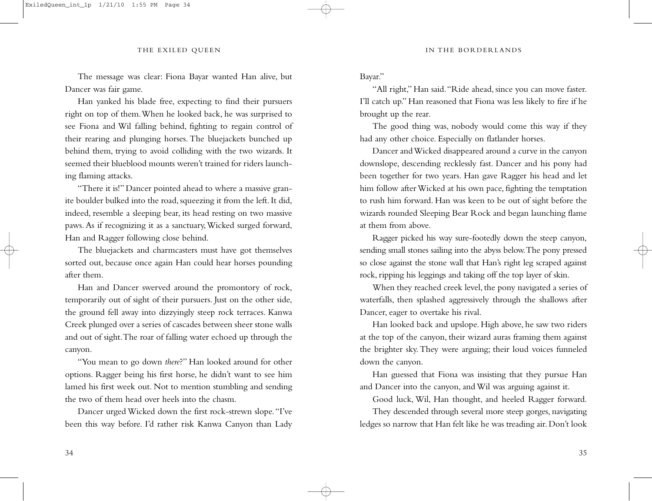## THE EXILED QUEEN

The message was clear: Fiona Bayar wanted Han alive, but Dancer was fair game.

Han yanked his blade free, expecting to find their pursuers right on top of them.When he looked back, he was surprised to see Fiona and Wil falling behind, fighting to regain control of their rearing and plunging horses. The bluejackets bunched up behind them, trying to avoid colliding with the two wizards. It seemed their blueblood mounts weren't trained for riders launching flaming attacks.

"There it is!" Dancer pointed ahead to where a massive granite boulder bulked into the road, squeezing it from the left. It did, indeed, resemble a sleeping bear, its head resting on two massive paws.As if recognizing it as a sanctuary,Wicked surged forward, Han and Ragger following close behind.

The bluejackets and charmcasters must have got themselves sorted out, because once again Han could hear horses pounding after them.

Han and Dancer swerved around the promontory of rock, temporarily out of sight of their pursuers. Just on the other side, the ground fell away into dizzyingly steep rock terraces. Kanwa Creek plunged over a series of cascades between sheer stone walls and out of sight.The roar of falling water echoed up through the canyon.

"You mean to go down *there*?" Han looked around for other options. Ragger being his first horse, he didn't want to see him lamed his first week out. Not to mention stumbling and sending the two of them head over heels into the chasm.

Dancer urged Wicked down the first rock-strewn slope."I've been this way before. I'd rather risk Kanwa Canyon than Lady Bayar."

"All right," Han said."Ride ahead, since you can move faster. I'll catch up." Han reasoned that Fiona was less likely to fire if he brought up the rear.

The good thing was, nobody would come this way if they had any other choice. Especially on flatlander horses.

Dancer and Wicked disappeared around a curve in the canyon downslope, descending recklessly fast. Dancer and his pony had been together for two years. Han gave Ragger his head and let him follow after Wicked at his own pace, fighting the temptation to rush him forward. Han was keen to be out of sight before the wizards rounded Sleeping Bear Rock and began launching flame at them from above.

Ragger picked his way sure-footedly down the steep canyon, sending small stones sailing into the abyss below.The pony pressed so close against the stone wall that Han's right leg scraped against rock, ripping his leggings and taking off the top layer of skin.

When they reached creek level, the pony navigated a series of waterfalls, then splashed aggressively through the shallows after Dancer, eager to overtake his rival.

Han looked back and upslope. High above, he saw two riders at the top of the canyon, their wizard auras framing them against the brighter sky.They were arguing; their loud voices funneled down the canyon.

Han guessed that Fiona was insisting that they pursue Han and Dancer into the canyon, and Wil was arguing against it.

Good luck, Wil, Han thought, and heeled Ragger forward.

They descended through several more steep gorges, navigating ledges so narrow that Han felt like he was treading air. Don't look